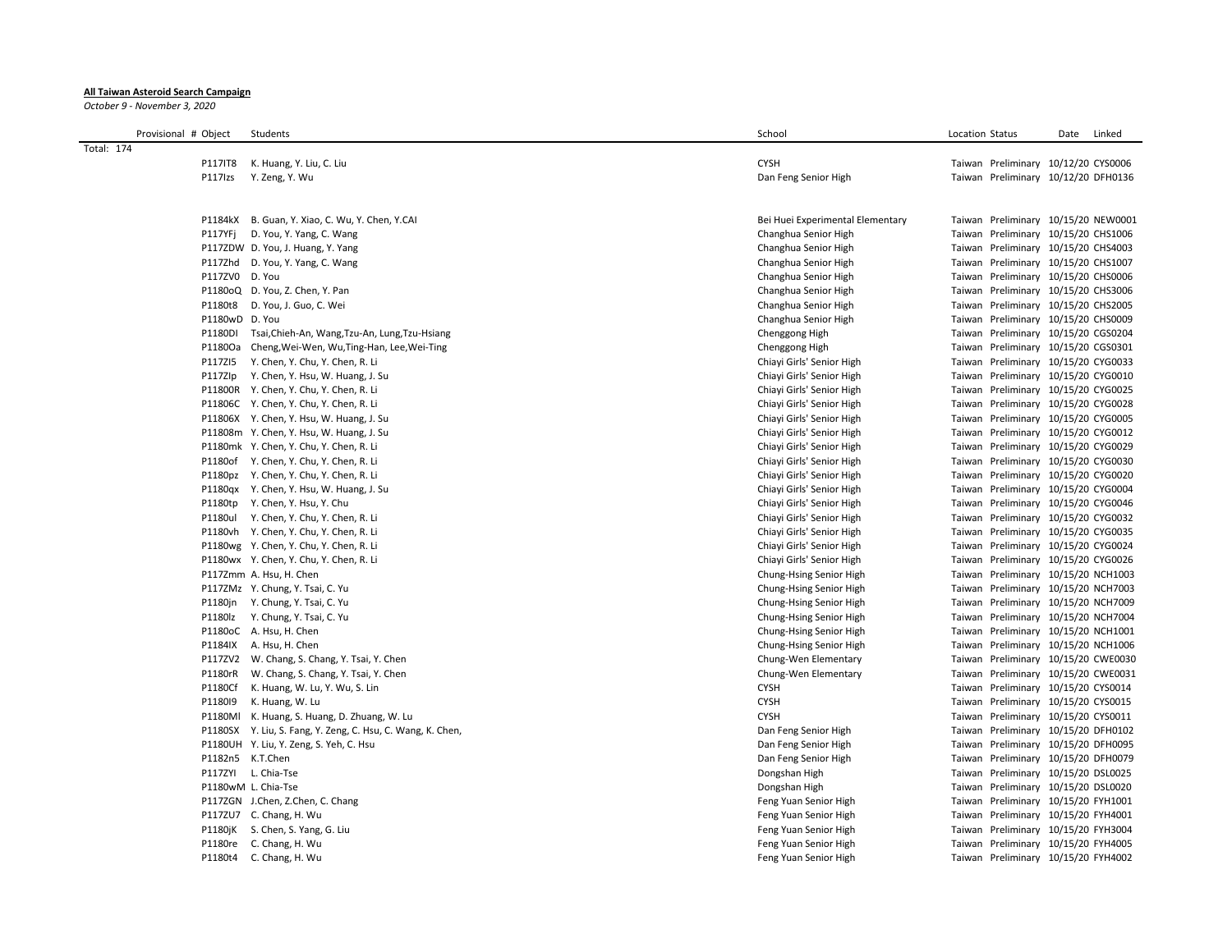## **All Taiwan Asteroid Search Campaign**

*October 9 - November 3, 2020*

| Provisional # Object | Students                                                    | School                           | Location Status<br>Date             | Linked |
|----------------------|-------------------------------------------------------------|----------------------------------|-------------------------------------|--------|
| Total: 174           |                                                             |                                  |                                     |        |
| <b>P117IT8</b>       | K. Huang, Y. Liu, C. Liu                                    | <b>CYSH</b>                      | Taiwan Preliminary 10/12/20 CYS0006 |        |
| P117lzs              | Y. Zeng, Y. Wu                                              | Dan Feng Senior High             | Taiwan Preliminary 10/12/20 DFH0136 |        |
|                      |                                                             |                                  |                                     |        |
|                      |                                                             |                                  |                                     |        |
|                      | P1184kX B. Guan, Y. Xiao, C. Wu, Y. Chen, Y.CAI             | Bei Huei Experimental Elementary | Taiwan Preliminary 10/15/20 NEW0001 |        |
| P117YFj              | D. You, Y. Yang, C. Wang                                    | Changhua Senior High             | Taiwan Preliminary 10/15/20 CHS1006 |        |
|                      | P117ZDW D. You, J. Huang, Y. Yang                           | Changhua Senior High             | Taiwan Preliminary 10/15/20 CHS4003 |        |
|                      | P117Zhd D. You, Y. Yang, C. Wang                            | Changhua Senior High             | Taiwan Preliminary 10/15/20 CHS1007 |        |
|                      | P117ZVO D. You                                              | Changhua Senior High             | Taiwan Preliminary 10/15/20 CHS0006 |        |
|                      | P1180oQ D. You, Z. Chen, Y. Pan                             | Changhua Senior High             | Taiwan Preliminary 10/15/20 CHS3006 |        |
| P1180t8              | D. You, J. Guo, C. Wei                                      | Changhua Senior High             | Taiwan Preliminary 10/15/20 CHS2005 |        |
|                      | P1180wD D. You                                              | Changhua Senior High             | Taiwan Preliminary 10/15/20 CHS0009 |        |
| P1180DI              | Tsai, Chieh-An, Wang, Tzu-An, Lung, Tzu-Hsiang              | Chenggong High                   | Taiwan Preliminary 10/15/20 CGS0204 |        |
| P1180Oa              | Cheng, Wei-Wen, Wu, Ting-Han, Lee, Wei-Ting                 | Chenggong High                   | Taiwan Preliminary 10/15/20 CGS0301 |        |
| P117ZI5              | Y. Chen, Y. Chu, Y. Chen, R. Li                             | Chiayi Girls' Senior High        | Taiwan Preliminary 10/15/20 CYG0033 |        |
| P117Zlp              | Y. Chen, Y. Hsu, W. Huang, J. Su                            | Chiayi Girls' Senior High        | Taiwan Preliminary 10/15/20 CYG0010 |        |
|                      | P11800R Y. Chen, Y. Chu, Y. Chen, R. Li                     | Chiayi Girls' Senior High        | Taiwan Preliminary 10/15/20 CYG0025 |        |
|                      | P11806C Y. Chen, Y. Chu, Y. Chen, R. Li                     | Chiayi Girls' Senior High        | Taiwan Preliminary 10/15/20 CYG0028 |        |
|                      | P11806X Y. Chen, Y. Hsu, W. Huang, J. Su                    | Chiayi Girls' Senior High        | Taiwan Preliminary 10/15/20 CYG0005 |        |
|                      | P11808m Y. Chen, Y. Hsu, W. Huang, J. Su                    | Chiayi Girls' Senior High        | Taiwan Preliminary 10/15/20 CYG0012 |        |
|                      | P1180mk Y. Chen, Y. Chu, Y. Chen, R. Li                     | Chiayi Girls' Senior High        | Taiwan Preliminary 10/15/20 CYG0029 |        |
|                      | P1180of Y. Chen, Y. Chu, Y. Chen, R. Li                     | Chiayi Girls' Senior High        | Taiwan Preliminary 10/15/20 CYG0030 |        |
|                      | P1180pz Y. Chen, Y. Chu, Y. Chen, R. Li                     | Chiayi Girls' Senior High        | Taiwan Preliminary 10/15/20 CYG0020 |        |
|                      | P1180qx Y. Chen, Y. Hsu, W. Huang, J. Su                    | Chiayi Girls' Senior High        | Taiwan Preliminary 10/15/20 CYG0004 |        |
| P1180tp              | Y. Chen, Y. Hsu, Y. Chu                                     | Chiayi Girls' Senior High        | Taiwan Preliminary 10/15/20 CYG0046 |        |
| P1180ul              | Y. Chen, Y. Chu, Y. Chen, R. Li                             | Chiayi Girls' Senior High        | Taiwan Preliminary 10/15/20 CYG0032 |        |
|                      | P1180vh Y. Chen, Y. Chu, Y. Chen, R. Li                     | Chiayi Girls' Senior High        | Taiwan Preliminary 10/15/20 CYG0035 |        |
|                      | P1180wg Y. Chen, Y. Chu, Y. Chen, R. Li                     | Chiayi Girls' Senior High        | Taiwan Preliminary 10/15/20 CYG0024 |        |
|                      | P1180wx Y. Chen, Y. Chu, Y. Chen, R. Li                     | Chiayi Girls' Senior High        | Taiwan Preliminary 10/15/20 CYG0026 |        |
|                      | P117Zmm A. Hsu, H. Chen                                     | Chung-Hsing Senior High          | Taiwan Preliminary 10/15/20 NCH1003 |        |
|                      | P117ZMz Y. Chung, Y. Tsai, C. Yu                            | Chung-Hsing Senior High          | Taiwan Preliminary 10/15/20 NCH7003 |        |
|                      | P1180jn Y. Chung, Y. Tsai, C. Yu                            | Chung-Hsing Senior High          | Taiwan Preliminary 10/15/20 NCH7009 |        |
| P1180lz              | Y. Chung, Y. Tsai, C. Yu                                    | Chung-Hsing Senior High          | Taiwan Preliminary 10/15/20 NCH7004 |        |
|                      | P1180oC A. Hsu, H. Chen                                     | Chung-Hsing Senior High          | Taiwan Preliminary 10/15/20 NCH1001 |        |
| P1184IX              | A. Hsu, H. Chen                                             | Chung-Hsing Senior High          | Taiwan Preliminary 10/15/20 NCH1006 |        |
|                      | P117ZV2 W. Chang, S. Chang, Y. Tsai, Y. Chen                | Chung-Wen Elementary             | Taiwan Preliminary 10/15/20 CWE0030 |        |
|                      | P1180rR W. Chang, S. Chang, Y. Tsai, Y. Chen                | Chung-Wen Elementary             | Taiwan Preliminary 10/15/20 CWE0031 |        |
| P1180Cf              | K. Huang, W. Lu, Y. Wu, S. Lin                              | <b>CYSH</b>                      | Taiwan Preliminary 10/15/20 CYS0014 |        |
| P118019              | K. Huang, W. Lu                                             | <b>CYSH</b>                      | Taiwan Preliminary 10/15/20 CYS0015 |        |
|                      | P1180Ml K. Huang, S. Huang, D. Zhuang, W. Lu                | <b>CYSH</b>                      | Taiwan Preliminary 10/15/20 CYS0011 |        |
|                      | P1180SX Y. Liu, S. Fang, Y. Zeng, C. Hsu, C. Wang, K. Chen, | Dan Feng Senior High             | Taiwan Preliminary 10/15/20 DFH0102 |        |
|                      | P1180UH Y. Liu, Y. Zeng, S. Yeh, C. Hsu                     | Dan Feng Senior High             | Taiwan Preliminary 10/15/20 DFH0095 |        |
|                      | P1182n5 K.T.Chen                                            | Dan Feng Senior High             | Taiwan Preliminary 10/15/20 DFH0079 |        |
|                      | P117ZYI L. Chia-Tse                                         | Dongshan High                    | Taiwan Preliminary 10/15/20 DSL0025 |        |
|                      | P1180wM L. Chia-Tse                                         | Dongshan High                    | Taiwan Preliminary 10/15/20 DSL0020 |        |
|                      | P117ZGN J.Chen, Z.Chen, C. Chang                            | Feng Yuan Senior High            | Taiwan Preliminary 10/15/20 FYH1001 |        |
|                      | P117ZU7 C. Chang, H. Wu                                     | Feng Yuan Senior High            | Taiwan Preliminary 10/15/20 FYH4001 |        |
|                      | P1180jK S. Chen, S. Yang, G. Liu                            | Feng Yuan Senior High            | Taiwan Preliminary 10/15/20 FYH3004 |        |
|                      | P1180re C. Chang, H. Wu                                     | Feng Yuan Senior High            | Taiwan Preliminary 10/15/20 FYH4005 |        |
|                      | P1180t4 C. Chang, H. Wu                                     | Feng Yuan Senior High            | Taiwan Preliminary 10/15/20 FYH4002 |        |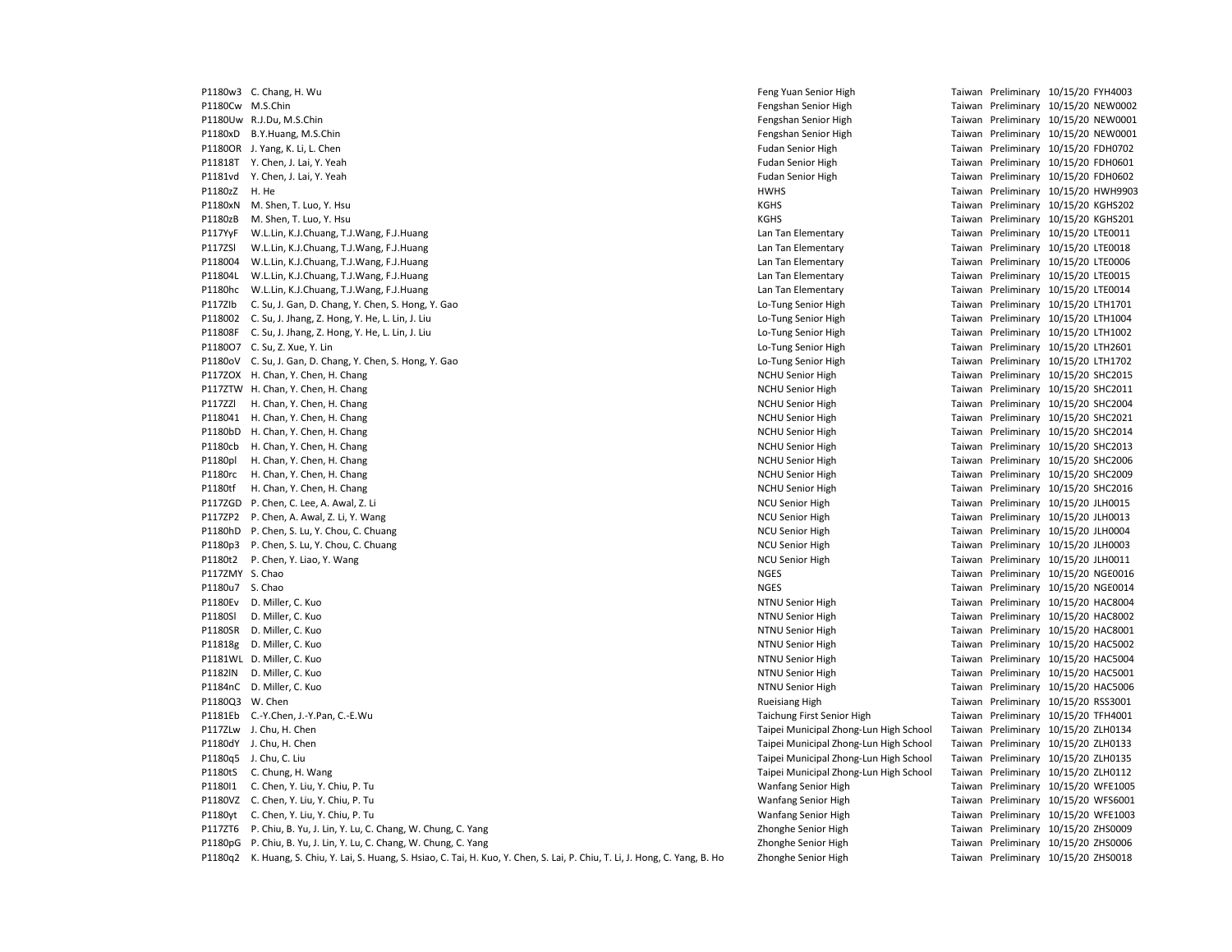P1180w3 C. Chang, H. Wu Feng Yuan Senior High Taiwan Preliminary 10/15/20 FYH4003 P1180Cw M.S.Chin Fengshan Senior High Taiwan Preliminary 10/15/20 NEW0002 P1180Uw R.J.Du, M.S.Chin **Fengshan Senior High Taiwan Preliminary 10/15/20 NEW0001** Fengshan Senior High Taiwan Preliminary 10/15/20 NEW0001 P1180xD B.Y.Huang, M.S.Chin Fengshan Senior High Taiwan Preliminary 10/15/20 NEW0001 P1180OR J. Yang, K. Li, L. Chen Fudan Senior High Fudan Senior High Taiwan Preliminary 10/15/20 FDH0702 P11818T Y. Chen, J. Lai, Y. Yeah Fudan Senior High Fudan Senior High Taiwan Preliminary 10/15/20 FDH0601 P1181vd Y. Chen, J. Lai, Y. Yeah Fudan Senior High Taiwan Preliminary 10/15/20 FDH0602 P1180zZ H. He **HWHS Taiwan Preliminary 10/15/20 HWH9903** HWHS Taiwan Preliminary 10/15/20 HWH9903 P1180xN M. Shen, T. Luo, Y. Hsu November 2021 10:00 20:00 20:00 20:00 20:00 20:00 20:00 20:00 20:00 20:00 20:00 20:00 20:00 20:00 20:00 20:00 20:00 20:00 20:00 20:00 20:00 20:00 20:00 20:00 20:00 20:00 20:00 20:00 20:00 20 P1180zB M. Shen. T. Luo, Y. Hsu November 2021 and States and States and States and States and States and States and States and States and States and States and States and States and States and States and States and States P117YyF W.L.Lin, K.J.Chuang, T.J.Wang, F.J.Huang Lan Lan Tan Elementary Lan Tan Elementary Taiwan Preliminary 10/15/20 LTE0011 P117ZSl W.L.Lin, K.J.Chuang, T.J.Wang, F.J.Huang Lan Lan Tan Elementary Lan Tan Elementary Taiwan Preliminary 10/15/20 LTE0018 P118004 W.L.Lin, K.J.Chuang, T.J.Wang, F.J.Huang Lan Tan Elementary Lan Tan Elementary Taiwan Preliminary 10/15/20 LTE0006 P11804L W.L.Lin, K.J.Chuang, T.J.Wang, F.J.Huang Lan Tan Elementary Taiwan Preliminary 10/15/20 LTE0015 P1180hc W.L.Lin, K.J.Chuang, T.J.Wang, F.J.Huang Lan Lan Lan Tan Elementary Lan Tan Elementary Taiwan Preliminary 10/15/20 LTE0014 P117ZIb C. Su, J. Gan, D. Chang, Y. Chen, S. Hong, Y. Gao Lo-Tung Senior High Lo-Tung Senior High Taiwan Preliminary 10/15/20 LTH1701 P118002 C. Su, J. Jhang, Z. Hong, Y. He, L. Lin, J. Liu Low Lotter Management Communication Communication Communication Communication C. Su, J. Jhang, Z. Hong, Y. He, L. Lin, J. Liu Lotter Management Communication Communic P11808F C. Su, J. Jhang, Z. Hong, Y. He, L. Lin, J. Liu Low Lotter Manuscullo Company 10/15/20 LTH1002 Particle in the United States of Lo-Tung Senior High Taiwan Preliminary 10/15/20 LTH1002 P1180O7 C. Su, Z. Xue, Y. Lin Lo-Tung Senior High Taiwan Preliminary 10/15/20 LTH2601 P1180oV C. Su, J. Gan, D. Chang, Y. Chen, S. Hong, Y. Gao Lo-Tung Senior High Lo-Tung Senior High Taiwan Preliminary 10/15/20 LTH1702 P117ZOX H. Chan, Y. Chen, H. Chang NCHU Senior High NCHU Senior High Taiwan Preliminary 10/15/20 SHC2015 P117ZTW H. Chan, Y. Chen, H. Chang N. Chang N. Chen, H. Chang N. Chen, H. Chang N. Chen, Y. Chen, H. Chang N. Chen, H. Chang N. Chen, H. Chang N. Chen, H. Chang N. Chen, H. Chang N. Chen, H. Chang N. Chen, H. Chang N. Chen P117ZZl H. Chan, Y. Chen, H. Chang NCHU Senior High NCHU Senior High Taiwan Preliminary 10/15/20 SHC2004 P118041 H. Chan, Y. Chen, H. Chang Chang Number of Taiwan Preliminary 10/15/20 SHC2021 P1180bD H. Chan, Y. Chen, H. Chang NCHU Senior High NCHU Senior High Taiwan Preliminary 10/15/20 SHC2014 P1180cb H. Chan, Y. Chen, H. Chang N. Chang N. Chang N. Chen, H. Chang N. Chen, H. Chang N. Chen, H. Chang N. Chen, H. Chang N. Chen, H. Chang N. Chen, H. Chang N. Chen, H. Chang N. Chen, H. Chang N. Chen, H. Chang N. Chen P1180pl H. Chan, Y. Chen, H. Chang N. Chang N. Chen, H. Chang N. Chen, H. Chang N. Chen, Y. Chen, H. Chang N. Chen, H. Chang N. Chen, H. Chang N. Chen, H. Chang N. Chen, H. Chang N. Chen, H. Chang N. Chen, H. Chang N. Chen P1180rc H. Chan, Y. Chen, H. Chang N. Chang N. Chang N. Chang N. Chang N. Chang N. Chang N. Chang N. Chang N. Chang N. Chang N. Chang N. Chang N. Chang N. Chang N. Chang N. Chang N. Chang N. Chang N. Chang N. Chang N. Chan P1180tf H. Chan, Y. Chen, H. Chang N. Chang N. Chang N. Chang New York Chang New York Chang New York Chang New York Chang New York Chang New York Chang New York Chang New York Chang New York Chang New York Chang New York C P117ZGD P. Chen, C. Lee, A. Awal, Z. Li November 2001 Senior High NCU Senior High Taiwan Preliminary 10/15/20 JLH0015 P117ZP2 P. Chen, A. Awal, Z. Li, Y. Wang NCU Senior High NCU Senior High Taiwan Preliminary 10/15/20 JLH0013 P1180hD P. Chen, S. Lu, Y. Chou, C. Chuang Taiwan C. Chuang NCU Senior High NCU Senior High Taiwan Preliminary 10/15/20 JLH0004 P1180p3 P. Chen, S. Lu, Y. Chou, C. Chuang NCU Senior High NCU Senior High NCU Senior High Taiwan Preliminary 10/15/20 JLH0003 P1180t2 P. Chen, Y. Liao, Y. Wang National Action of the Material Senior High NCU Senior High Taiwan Preliminary 10/15/20 JLH0011 P117ZMY S. Chao **NGES** Taiwan Preliminary 10/15/20 NGE0016 P1180u7 S. Chao **NGES** Taiwan Preliminary 10/15/20 NGE0014 P1180Ev D. Miller, C. Kuo NTNU Senior High Taiwan Preliminary 10/15/20 HAC8004 P1180Sl D. Miller, C. Kuo NTNU Senior High Taiwan Preliminary 10/15/20 HAC8002 P1180SR D. Miller, C. Kuo **NTRU Senior High NTRU Senior High NTRU Senior High Taiwan Preliminary 10/15/20 HAC8001** P11818g D. Miller, C. Kuo NTNU Senior High NTNU Senior High Taiwan Preliminary 10/15/20 HAC5002 P1181WL D. Miller, C. Kuo NTNU Senior High NTNU Senior High Taiwan Preliminary 10/15/20 HAC5004 P1182lN D. Miller, C. Kuo NTNU Senior High Taiwan Preliminary 10/15/20 HAC5001 P1184nC D. Miller, C. Kuo NTNU Senior High Taiwan Preliminary 10/15/20 HAC5006 P1180Q3 W. Chen Rueisiang High Taiwan Preliminary 10/15/20 RSS3001 P1181Eb C.-Y.Chen, J.-Y.Pan, C.-E.Wu Taichung First Senior High Taichung First Senior High Taiwan Preliminary 10/15/20 TFH4001 P117ZLw J. Chu, H. Chen Taipei Municipal Zhong-Lun High School Taiwan Preliminary 10/15/20 ZLH0134 P1180dY J. Chu, H. Chen Taipei Municipal Zhong-Lun High School Taiwan Preliminary 10/15/20 ZLH0133 P1180q5 J. Chu, C. Liu Taipei Municipal Zhong-Lun High School Taiwan Preliminary 10/15/20 ZLH0135 P1180tS C. Chung, H. Wang external and the state of the state of the Taipei Municipal Zhong-Lun High School Taiwan Preliminary 10/15/20 ZLH0112 P1180I1 C. Chen, Y. Liu, Y. Chiu, P. Tu Wanfang Senior High Taiwan Preliminary 10/15/20 WFE1005 P1180VZ C. Chen, Y. Liu, Y. Chiu, P. Tu Wanfang Senior High Taiwan Preliminary 10/15/20 WFS6001 P1180yt C. Chen, Y. Liu, Y. Chiu, P. Tu<br>P1172T6 P. Chiu, B. Yu, J. Lin, Y. Lu, C. Chang, W. Chung, C. Yang Sang State Manner Chinam Taiwan Preliminary 10/15/20 ZHS0009 P117ZT6 P. Chiu, B. Yu, J. Lin, Y. Lu, C. Chang, W. Chung, C. Yang Zhonghe Senior High Taiwan Preliminary 10/15/20 Zhonghe Senior High P1180pG P. Chiu, B. Yu, J. Lin, Y. Lu, C. Chang, W. Chung, C. Yang Zhonghe Senior High Taiwan Preliminary 10/15/20 ZHS0006 P1180q2 K. Huang, S. Chiu, Y. Lai, S. Huang, S. Hsiao, C. Tai, H. Kuo, Y. Chen, S. Lai, P. Chiu, T. Li, J. Hong, C. Yang, B. Ho Zhonghe Senior High Taiwan Preliminary 10/15/20 ZHS0018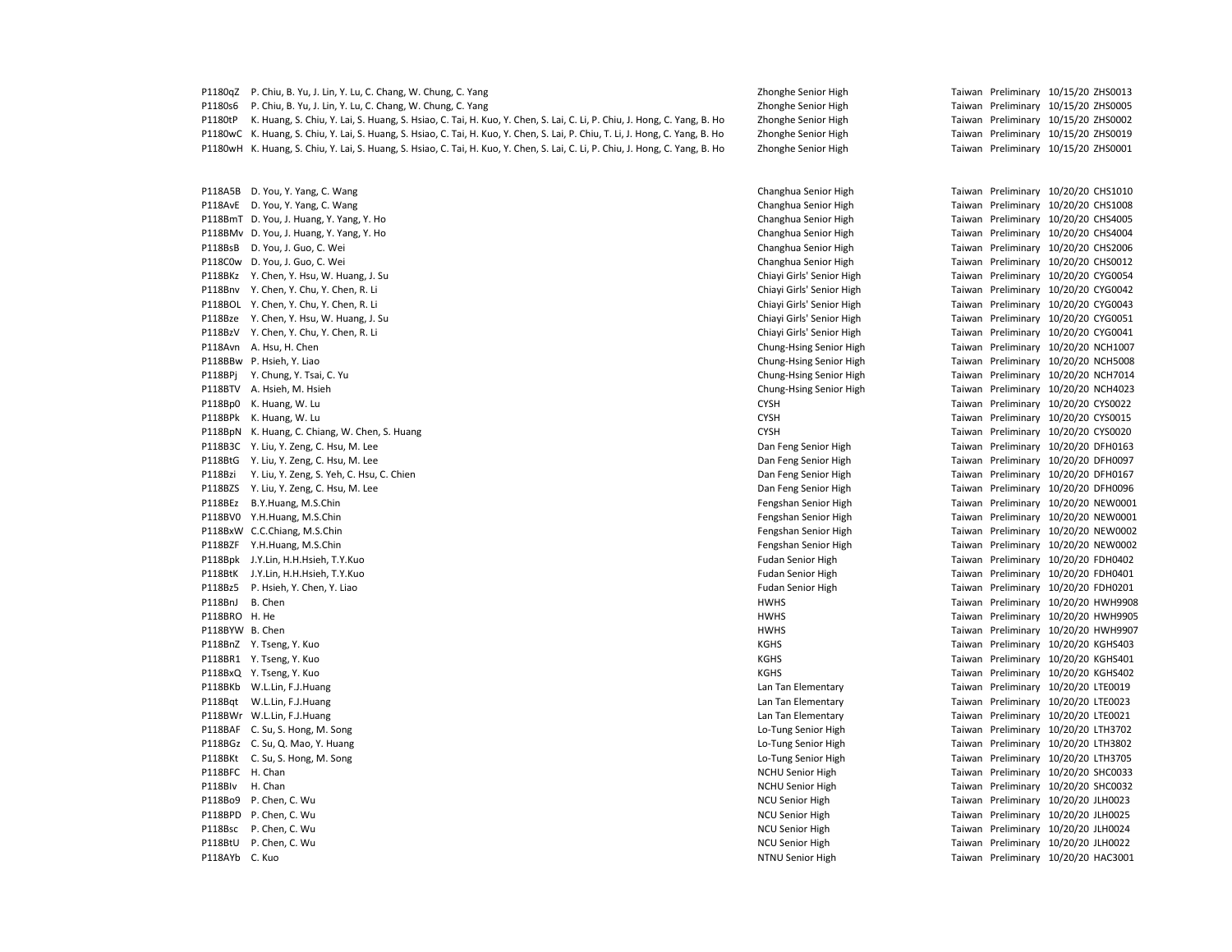| P1180qZ         | P. Chiu, B. Yu, J. Lin, Y. Lu, C. Chang, W. Chung, C. Yang                                                                      | Zhonghe Senior High       |  | Taiwan Preliminary 10/15/20 ZHS0013 |
|-----------------|---------------------------------------------------------------------------------------------------------------------------------|---------------------------|--|-------------------------------------|
| P1180s6         | P. Chiu, B. Yu, J. Lin, Y. Lu, C. Chang, W. Chung, C. Yang                                                                      | Zhonghe Senior High       |  | Taiwan Preliminary 10/15/20 ZHS0005 |
| P1180tP         | K. Huang, S. Chiu, Y. Lai, S. Huang, S. Hsiao, C. Tai, H. Kuo, Y. Chen, S. Lai, C. Li, P. Chiu, J. Hong, C. Yang, B. Ho         | Zhonghe Senior High       |  | Taiwan Preliminary 10/15/20 ZHS0002 |
|                 | P1180wC K. Huang, S. Chiu, Y. Lai, S. Huang, S. Hsiao, C. Tai, H. Kuo, Y. Chen, S. Lai, P. Chiu, T. Li, J. Hong, C. Yang, B. Ho | Zhonghe Senior High       |  | Taiwan Preliminary 10/15/20 ZHS0019 |
|                 | P1180wH K. Huang, S. Chiu, Y. Lai, S. Huang, S. Hsiao, C. Tai, H. Kuo, Y. Chen, S. Lai, C. Li, P. Chiu, J. Hong, C. Yang, B. Ho | Zhonghe Senior High       |  | Taiwan Preliminary 10/15/20 ZHS0001 |
|                 | P118A5B D. You, Y. Yang, C. Wang                                                                                                | Changhua Senior High      |  | Taiwan Preliminary 10/20/20 CHS1010 |
|                 | P118AvE D. You, Y. Yang, C. Wang                                                                                                | Changhua Senior High      |  | Taiwan Preliminary 10/20/20 CHS1008 |
|                 | P118BmT D. You, J. Huang, Y. Yang, Y. Ho                                                                                        | Changhua Senior High      |  | Taiwan Preliminary 10/20/20 CHS4005 |
|                 | P118BMv D. You, J. Huang, Y. Yang, Y. Ho                                                                                        | Changhua Senior High      |  | Taiwan Preliminary 10/20/20 CHS4004 |
|                 | P118BsB D. You, J. Guo, C. Wei                                                                                                  | Changhua Senior High      |  | Taiwan Preliminary 10/20/20 CHS2006 |
|                 | P118C0w D. You, J. Guo, C. Wei                                                                                                  | Changhua Senior High      |  | Taiwan Preliminary 10/20/20 CHS0012 |
|                 | P118BKz Y. Chen, Y. Hsu, W. Huang, J. Su                                                                                        | Chiavi Girls' Senior High |  | Taiwan Preliminary 10/20/20 CYG0054 |
|                 | P118Bnv Y. Chen, Y. Chu, Y. Chen, R. Li                                                                                         | Chiayi Girls' Senior High |  | Taiwan Preliminary 10/20/20 CYG0042 |
|                 | P118BOL Y. Chen, Y. Chu, Y. Chen, R. Li                                                                                         | Chiayi Girls' Senior High |  | Taiwan Preliminary 10/20/20 CYG0043 |
|                 | P118Bze Y. Chen, Y. Hsu, W. Huang, J. Su                                                                                        | Chiayi Girls' Senior High |  | Taiwan Preliminary 10/20/20 CYG0051 |
|                 | P118BzV Y. Chen, Y. Chu, Y. Chen, R. Li                                                                                         | Chiayi Girls' Senior High |  | Taiwan Preliminary 10/20/20 CYG0041 |
|                 | P118Avn A. Hsu, H. Chen                                                                                                         | Chung-Hsing Senior High   |  | Taiwan Preliminary 10/20/20 NCH1007 |
|                 | P118BBw P. Hsieh, Y. Liao                                                                                                       | Chung-Hsing Senior High   |  | Taiwan Preliminary 10/20/20 NCH5008 |
|                 | P118BPj Y. Chung, Y. Tsai, C. Yu                                                                                                | Chung-Hsing Senior High   |  | Taiwan Preliminary 10/20/20 NCH7014 |
|                 | P118BTV A. Hsieh, M. Hsieh                                                                                                      | Chung-Hsing Senior High   |  | Taiwan Preliminary 10/20/20 NCH4023 |
|                 | P118Bp0 K. Huang, W. Lu                                                                                                         | <b>CYSH</b>               |  | Taiwan Preliminary 10/20/20 CYS0022 |
|                 | P118BPk K. Huang, W. Lu                                                                                                         | <b>CYSH</b>               |  | Taiwan Preliminary 10/20/20 CYS0015 |
|                 | P118BpN K. Huang, C. Chiang, W. Chen, S. Huang                                                                                  | <b>CYSH</b>               |  | Taiwan Preliminary 10/20/20 CYS0020 |
|                 | P118B3C Y. Liu, Y. Zeng, C. Hsu, M. Lee                                                                                         | Dan Feng Senior High      |  | Taiwan Preliminary 10/20/20 DFH0163 |
|                 | P118BtG Y. Liu, Y. Zeng, C. Hsu, M. Lee                                                                                         | Dan Feng Senior High      |  | Taiwan Preliminary 10/20/20 DFH0097 |
| P118Bzi         | Y. Liu, Y. Zeng, S. Yeh, C. Hsu, C. Chien                                                                                       | Dan Feng Senior High      |  | Taiwan Preliminary 10/20/20 DFH0167 |
|                 | P118BZS Y. Liu, Y. Zeng, C. Hsu, M. Lee                                                                                         | Dan Feng Senior High      |  | Taiwan Preliminary 10/20/20 DFH0096 |
|                 | P118BEz B.Y.Huang, M.S.Chin                                                                                                     | Fengshan Senior High      |  | Taiwan Preliminary 10/20/20 NEW0001 |
|                 | P118BV0 Y.H.Huang, M.S.Chin                                                                                                     | Fengshan Senior High      |  | Taiwan Preliminary 10/20/20 NEW0001 |
|                 | P118BxW C.C.Chiang, M.S.Chin                                                                                                    | Fengshan Senior High      |  | Taiwan Preliminary 10/20/20 NEW0002 |
|                 | P118BZF Y.H.Huang, M.S.Chin                                                                                                     | Fengshan Senior High      |  | Taiwan Preliminary 10/20/20 NEW0002 |
|                 | P118Bpk J.Y.Lin, H.H.Hsieh, T.Y.Kuo                                                                                             | <b>Fudan Senior High</b>  |  | Taiwan Preliminary 10/20/20 FDH0402 |
|                 | P118BtK J.Y.Lin, H.H.Hsieh, T.Y.Kuo                                                                                             | <b>Fudan Senior High</b>  |  | Taiwan Preliminary 10/20/20 FDH0401 |
| P118Bz5         | P. Hsieh, Y. Chen, Y. Liao                                                                                                      | <b>Fudan Senior High</b>  |  | Taiwan Preliminary 10/20/20 FDH0201 |
| P118BnJ         | B. Chen                                                                                                                         | <b>HWHS</b>               |  | Taiwan Preliminary 10/20/20 HWH9908 |
| P118BRO H. He   |                                                                                                                                 | <b>HWHS</b>               |  | Taiwan Preliminary 10/20/20 HWH9905 |
| P118BYW B. Chen |                                                                                                                                 | <b>HWHS</b>               |  | Taiwan Preliminary 10/20/20 HWH9907 |
|                 | P118BnZ Y. Tseng, Y. Kuo                                                                                                        | <b>KGHS</b>               |  | Taiwan Preliminary 10/20/20 KGHS403 |
|                 | P118BR1 Y. Tseng, Y. Kuo                                                                                                        | <b>KGHS</b>               |  | Taiwan Preliminary 10/20/20 KGHS401 |
|                 | P118BxQ Y. Tseng, Y. Kuo                                                                                                        | <b>KGHS</b>               |  | Taiwan Preliminary 10/20/20 KGHS402 |
|                 | P118BKb W.L.Lin, F.J.Huang                                                                                                      | Lan Tan Elementary        |  | Taiwan Preliminary 10/20/20 LTE0019 |
|                 | P118Bqt W.L.Lin, F.J.Huang                                                                                                      | Lan Tan Elementary        |  | Taiwan Preliminary 10/20/20 LTE0023 |
|                 | P118BWr W.L.Lin, F.J.Huang                                                                                                      | Lan Tan Elementary        |  | Taiwan Preliminary 10/20/20 LTE0021 |
|                 | P118BAF C. Su, S. Hong, M. Song                                                                                                 | Lo-Tung Senior High       |  | Taiwan Preliminary 10/20/20 LTH3702 |
|                 | P118BGz C. Su, Q. Mao, Y. Huang                                                                                                 | Lo-Tung Senior High       |  | Taiwan Preliminary 10/20/20 LTH3802 |
|                 | P118BKt C. Su, S. Hong, M. Song                                                                                                 | Lo-Tung Senior High       |  | Taiwan Preliminary 10/20/20 LTH3705 |
| P118BFC H. Chan |                                                                                                                                 | <b>NCHU Senior High</b>   |  | Taiwan Preliminary 10/20/20 SHC0033 |
| P118Blv         | H. Chan                                                                                                                         | <b>NCHU Senior High</b>   |  | Taiwan Preliminary 10/20/20 SHC0032 |
|                 | P118Bo9 P. Chen, C. Wu                                                                                                          | <b>NCU Senior High</b>    |  | Taiwan Preliminary 10/20/20 JLH0023 |
|                 | P118BPD P. Chen, C. Wu                                                                                                          | <b>NCU Senior High</b>    |  | Taiwan Preliminary 10/20/20 JLH0025 |
| P118Bsc         | P. Chen, C. Wu                                                                                                                  | <b>NCU Senior High</b>    |  | Taiwan Preliminary 10/20/20 JLH0024 |
|                 | P118BtU P. Chen, C. Wu                                                                                                          | <b>NCU Senior High</b>    |  | Taiwan Preliminary 10/20/20 JLH0022 |
| P118AYb C. Kuo  |                                                                                                                                 | NTNU Senior High          |  | Taiwan Preliminary 10/20/20 HAC3001 |